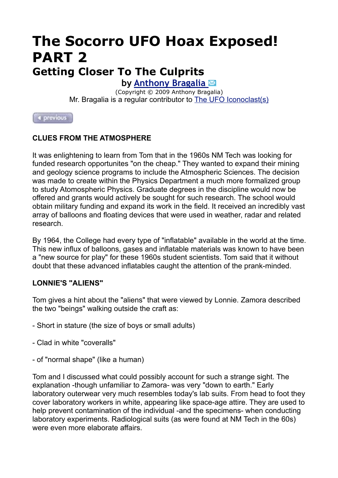## **The Socorro UFO Hoax Exposed! PART 2 Getting Closer To The Culprits**

**by [Anthony Bragalia](mailto:envcol@mindspring.com)** 

(Copyright © 2009 Anthony Bragalia) Mr. Bragalia is a regular contributor to **The UFO Iconoclast(s)** 

4 previous

## **CLUES FROM THE ATMOSPHERE**

It was enlightening to learn from Tom that in the 1960s NM Tech was looking for funded research opportunites "on the cheap." They wanted to expand their mining and geology science programs to include the Atmospheric Sciences. The decision was made to create within the Physics Department a much more formalized group to study Atomospheric Physics. Graduate degrees in the discipline would now be offered and grants would actively be sought for such research. The school would obtain military funding and expand its work in the field. It received an incredibly vast array of balloons and floating devices that were used in weather, radar and related research.

By 1964, the College had every type of "inflatable" available in the world at the time. This new influx of balloons, gases and inflatable materials was known to have been a "new source for play" for these 1960s student scientists. Tom said that it without doubt that these advanced inflatables caught the attention of the prank-minded.

## **LONNIE'S "ALIENS"**

Tom gives a hint about the "aliens" that were viewed by Lonnie. Zamora described the two "beings" walking outside the craft as:

- Short in stature (the size of boys or small adults)
- Clad in white "coveralls"
- of "normal shape" (like a human)

Tom and I discussed what could possibly account for such a strange sight. The explanation -though unfamiliar to Zamora- was very "down to earth." Early laboratory outerwear very much resembles today's lab suits. From head to foot they cover laboratory workers in white, appearing like space-age attire. They are used to help prevent contamination of the individual -and the specimens- when conducting laboratory experiments. Radiological suits (as were found at NM Tech in the 60s) were even more elaborate affairs.